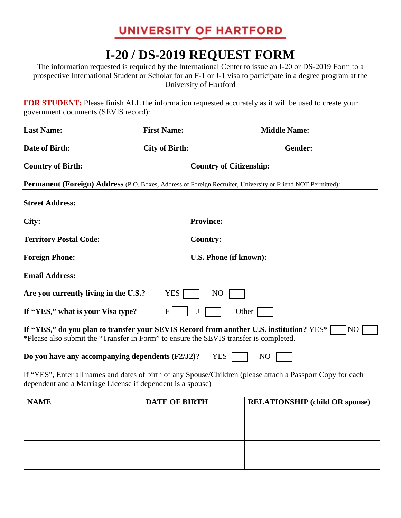## UNIVERSITY OF HARTFORD

## **I-20 / DS-2019 REQUEST FORM**

The information requested is required by the International Center to issue an I-20 or DS-2019 Form to a prospective International Student or Scholar for an F-1 or J-1 visa to participate in a degree program at the University of Hartford

**FOR STUDENT:** Please finish ALL the information requested accurately as it will be used to create your government documents (SEVIS record):

|                                   |              | Date of Birth: City of Birth: City of Birth: Gender: City of Birth:                                                                                                                                                                                                                                                                                                                                                                                                                                    |
|-----------------------------------|--------------|--------------------------------------------------------------------------------------------------------------------------------------------------------------------------------------------------------------------------------------------------------------------------------------------------------------------------------------------------------------------------------------------------------------------------------------------------------------------------------------------------------|
|                                   |              | Country of Birth: Country of Citizenship: Country of Citizenship:                                                                                                                                                                                                                                                                                                                                                                                                                                      |
|                                   |              |                                                                                                                                                                                                                                                                                                                                                                                                                                                                                                        |
|                                   |              |                                                                                                                                                                                                                                                                                                                                                                                                                                                                                                        |
|                                   |              |                                                                                                                                                                                                                                                                                                                                                                                                                                                                                                        |
|                                   |              | Territory Postal Code: Country: Country: Country:                                                                                                                                                                                                                                                                                                                                                                                                                                                      |
|                                   |              |                                                                                                                                                                                                                                                                                                                                                                                                                                                                                                        |
|                                   |              |                                                                                                                                                                                                                                                                                                                                                                                                                                                                                                        |
|                                   | NO           |                                                                                                                                                                                                                                                                                                                                                                                                                                                                                                        |
| $F$                               | $\mathbf{J}$ | Other $\sqrt{\phantom{a}}$                                                                                                                                                                                                                                                                                                                                                                                                                                                                             |
|                                   |              | NO                                                                                                                                                                                                                                                                                                                                                                                                                                                                                                     |
|                                   |              | NO                                                                                                                                                                                                                                                                                                                                                                                                                                                                                                     |
|                                   |              | If "YES", Enter all names and dates of birth of any Spouse/Children (please attach a Passport Copy for each                                                                                                                                                                                                                                                                                                                                                                                            |
|                                   |              | <b>RELATIONSHIP</b> (child OR spouse)                                                                                                                                                                                                                                                                                                                                                                                                                                                                  |
|                                   |              |                                                                                                                                                                                                                                                                                                                                                                                                                                                                                                        |
|                                   |              |                                                                                                                                                                                                                                                                                                                                                                                                                                                                                                        |
| If "YES," what is your Visa type? |              | <b>Permanent (Foreign) Address</b> (P.O. Boxes, Address of Foreign Recruiter, University or Friend NOT Permitted):<br>Are you currently living in the U.S.? $YES$<br>If "YES," do you plan to transfer your SEVIS Record from another U.S. institution? YES*<br>*Please also submit the "Transfer in Form" to ensure the SEVIS transfer is completed.<br>Do you have any accompanying dependents $(F2/J2)$ ? YES<br>dependent and a Marriage License if dependent is a spouse)<br><b>DATE OF BIRTH</b> |